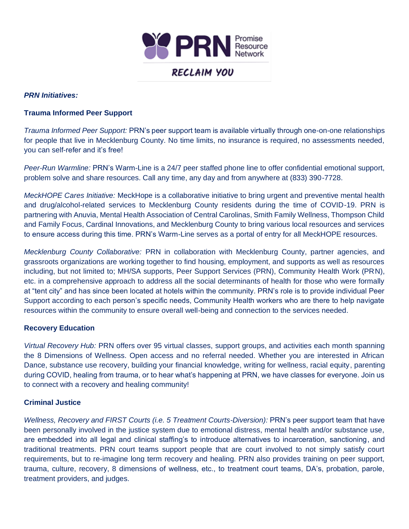

## *PRN Initiatives:*

## **Trauma Informed Peer Support**

*Trauma Informed Peer Support:* PRN's peer support team is available virtually through one-on-one relationships for people that live in Mecklenburg County. No time limits, no insurance is required, no assessments needed, you can self-refer and it's free!

*Peer-Run Warmline:* PRN's Warm-Line is a 24/7 peer staffed phone line to offer confidential emotional support, problem solve and share resources. Call any time, any day and from anywhere at (833) 390-7728.

*MeckHOPE Cares Initiative:* MeckHope is a collaborative initiative to bring urgent and preventive mental health and drug/alcohol-related services to Mecklenburg County residents during the time of COVID-19. PRN is partnering with Anuvia, Mental Health Association of Central Carolinas, Smith Family Wellness, Thompson Child and Family Focus, Cardinal Innovations, and Mecklenburg County to bring various local resources and services to ensure access during this time. PRN's Warm-Line serves as a portal of entry for all MeckHOPE resources.

*Mecklenburg County Collaborative:* PRN in collaboration with Mecklenburg County, partner agencies, and grassroots organizations are working together to find housing, employment, and supports as well as resources including, but not limited to; MH/SA supports, Peer Support Services (PRN), Community Health Work (PRN), etc. in a comprehensive approach to address all the social determinants of health for those who were formally at "tent city" and has since been located at hotels within the community. PRN's role is to provide individual Peer Support according to each person's specific needs, Community Health workers who are there to help navigate resources within the community to ensure overall well-being and connection to the services needed.

## **Recovery Education**

*Virtual Recovery Hub:* PRN offers over 95 virtual classes, support groups, and activities each month spanning the 8 Dimensions of Wellness. Open access and no referral needed. Whether you are interested in African Dance, substance use recovery, building your financial knowledge, writing for wellness, racial equity, parenting during COVID, healing from trauma, or to hear what's happening at PRN, we have classes for everyone. Join us to connect with a recovery and healing community!

## **Criminal Justice**

*Wellness, Recovery and FIRST Courts (i.e. 5 Treatment Courts-Diversion):* PRN's peer support team that have been personally involved in the justice system due to emotional distress, mental health and/or substance use, are embedded into all legal and clinical staffing's to introduce alternatives to incarceration, sanctioning, and traditional treatments. PRN court teams support people that are court involved to not simply satisfy court requirements, but to re-imagine long term recovery and healing. PRN also provides training on peer support, trauma, culture, recovery, 8 dimensions of wellness, etc., to treatment court teams, DA's, probation, parole, treatment providers, and judges.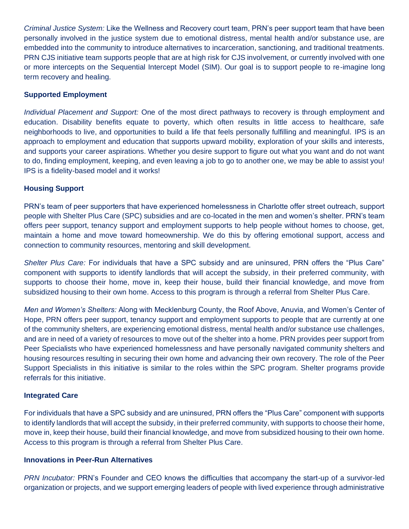*Criminal Justice System:* Like the Wellness and Recovery court team, PRN's peer support team that have been personally involved in the justice system due to emotional distress, mental health and/or substance use, are embedded into the community to introduce alternatives to incarceration, sanctioning, and traditional treatments. PRN CJS initiative team supports people that are at high risk for CJS involvement, or currently involved with one or more intercepts on the Sequential Intercept Model (SIM). Our goal is to support people to re-imagine long term recovery and healing.

### **Supported Employment**

*Individual Placement and Support:* One of the most direct pathways to recovery is through employment and education. Disability benefits equate to poverty, which often results in little access to healthcare, safe neighborhoods to live, and opportunities to build a life that feels personally fulfilling and meaningful. IPS is an approach to employment and education that supports upward mobility, exploration of your skills and interests, and supports your career aspirations. Whether you desire support to figure out what you want and do not want to do, finding employment, keeping, and even leaving a job to go to another one, we may be able to assist you! IPS is a fidelity-based model and it works!

### **Housing Support**

PRN's team of peer supporters that have experienced homelessness in Charlotte offer street outreach, support people with Shelter Plus Care (SPC) subsidies and are co-located in the men and women's shelter. PRN's team offers peer support, tenancy support and employment supports to help people without homes to choose, get, maintain a home and move toward homeownership. We do this by offering emotional support, access and connection to community resources, mentoring and skill development.

*Shelter Plus Care:* For individuals that have a SPC subsidy and are uninsured, PRN offers the "Plus Care" component with supports to identify landlords that will accept the subsidy, in their preferred community, with supports to choose their home, move in, keep their house, build their financial knowledge, and move from subsidized housing to their own home. Access to this program is through a referral from Shelter Plus Care.

*Men and Women's Shelters:* Along with Mecklenburg County, the Roof Above, Anuvia, and Women's Center of Hope, PRN offers peer support, tenancy support and employment supports to people that are currently at one of the community shelters, are experiencing emotional distress, mental health and/or substance use challenges, and are in need of a variety of resources to move out of the shelter into a home. PRN provides peer support from Peer Specialists who have experienced homelessness and have personally navigated community shelters and housing resources resulting in securing their own home and advancing their own recovery. The role of the Peer Support Specialists in this initiative is similar to the roles within the SPC program. Shelter programs provide referrals for this initiative.

#### **Integrated Care**

For individuals that have a SPC subsidy and are uninsured, PRN offers the "Plus Care" component with supports to identify landlords that will accept the subsidy, in their preferred community, with supports to choose their home, move in, keep their house, build their financial knowledge, and move from subsidized housing to their own home. Access to this program is through a referral from Shelter Plus Care.

#### **Innovations in Peer-Run Alternatives**

*PRN Incubator:* PRN's Founder and CEO knows the difficulties that accompany the start-up of a survivor-led organization or projects, and we support emerging leaders of people with lived experience through administrative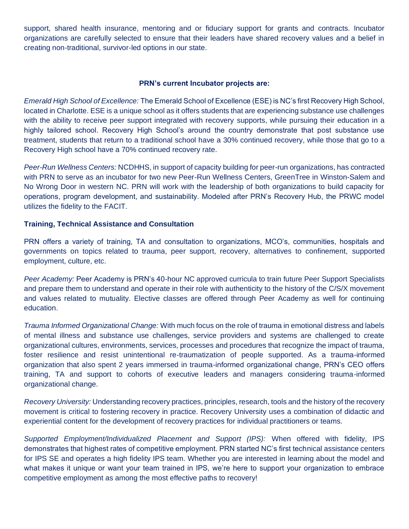support, shared health insurance, mentoring and or fiduciary support for grants and contracts. Incubator organizations are carefully selected to ensure that their leaders have shared recovery values and a belief in creating non-traditional, survivor-led options in our state.

### **PRN's current Incubator projects are:**

*Emerald High School of Excellence:* The Emerald School of Excellence (ESE) is NC's first Recovery High School, located in Charlotte. ESE is a unique school as it offers students that are experiencing substance use challenges with the ability to receive peer support integrated with recovery supports, while pursuing their education in a highly tailored school. Recovery High School's around the country demonstrate that post substance use treatment, students that return to a traditional school have a 30% continued recovery, while those that go to a Recovery High school have a 70% continued recovery rate.

*Peer-Run Wellness Centers:* NCDHHS, in support of capacity building for peer-run organizations, has contracted with PRN to serve as an incubator for two new Peer-Run Wellness Centers, GreenTree in Winston-Salem and No Wrong Door in western NC. PRN will work with the leadership of both organizations to build capacity for operations, program development, and sustainability. Modeled after PRN's Recovery Hub, the PRWC model utilizes the fidelity to the FACIT.

### **Training, Technical Assistance and Consultation**

PRN offers a variety of training, TA and consultation to organizations, MCO's, communities, hospitals and governments on topics related to trauma, peer support, recovery, alternatives to confinement, supported employment, culture, etc.

*Peer Academy:* Peer Academy is PRN's 40-hour NC approved curricula to train future Peer Support Specialists and prepare them to understand and operate in their role with authenticity to the history of the C/S/X movement and values related to mutuality. Elective classes are offered through Peer Academy as well for continuing education.

*Trauma Informed Organizational Change:* With much focus on the role of trauma in emotional distress and labels of mental illness and substance use challenges, service providers and systems are challenged to create organizational cultures, environments, services, processes and procedures that recognize the impact of trauma, foster resilience and resist unintentional re-traumatization of people supported. As a trauma-informed organization that also spent 2 years immersed in trauma-informed organizational change, PRN's CEO offers training, TA and support to cohorts of executive leaders and managers considering trauma-informed organizational change.

*Recovery University:* Understanding recovery practices, principles, research, tools and the history of the recovery movement is critical to fostering recovery in practice. Recovery University uses a combination of didactic and experiential content for the development of recovery practices for individual practitioners or teams.

*Supported Employment/Individualized Placement and Support (IPS):* When offered with fidelity, IPS demonstrates that highest rates of competitive employment. PRN started NC's first technical assistance centers for IPS SE and operates a high fidelity IPS team. Whether you are interested in learning about the model and what makes it unique or want your team trained in IPS, we're here to support your organization to embrace competitive employment as among the most effective paths to recovery!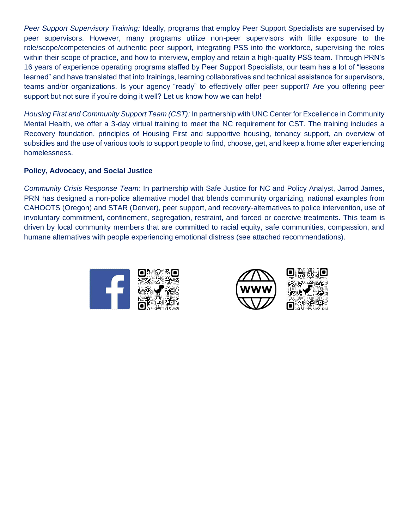*Peer Support Supervisory Training:* Ideally, programs that employ Peer Support Specialists are supervised by peer supervisors. However, many programs utilize non-peer supervisors with little exposure to the role/scope/competencies of authentic peer support, integrating PSS into the workforce, supervising the roles within their scope of practice, and how to interview, employ and retain a high-quality PSS team. Through PRN's 16 years of experience operating programs staffed by Peer Support Specialists, our team has a lot of "lessons learned" and have translated that into trainings, learning collaboratives and technical assistance for supervisors, teams and/or organizations. Is your agency "ready" to effectively offer peer support? Are you offering peer support but not sure if you're doing it well? Let us know how we can help!

*Housing First and Community Support Team (CST):* In partnership with UNC Center for Excellence in Community Mental Health, we offer a 3-day virtual training to meet the NC requirement for CST. The training includes a Recovery foundation, principles of Housing First and supportive housing, tenancy support, an overview of subsidies and the use of various tools to support people to find, choose, get, and keep a home after experiencing homelessness.

## **Policy, Advocacy, and Social Justice**

*Community Crisis Response Team*: In partnership with Safe Justice for NC and Policy Analyst, Jarrod James, PRN has designed a non-police alternative model that blends community organizing, national examples from CAHOOTS (Oregon) and STAR (Denver), peer support, and recovery-alternatives to police intervention, use of involuntary commitment, confinement, segregation, restraint, and forced or coercive treatments. This team is driven by local community members that are committed to racial equity, safe communities, compassion, and humane alternatives with people experiencing emotional distress (see attached recommendations).